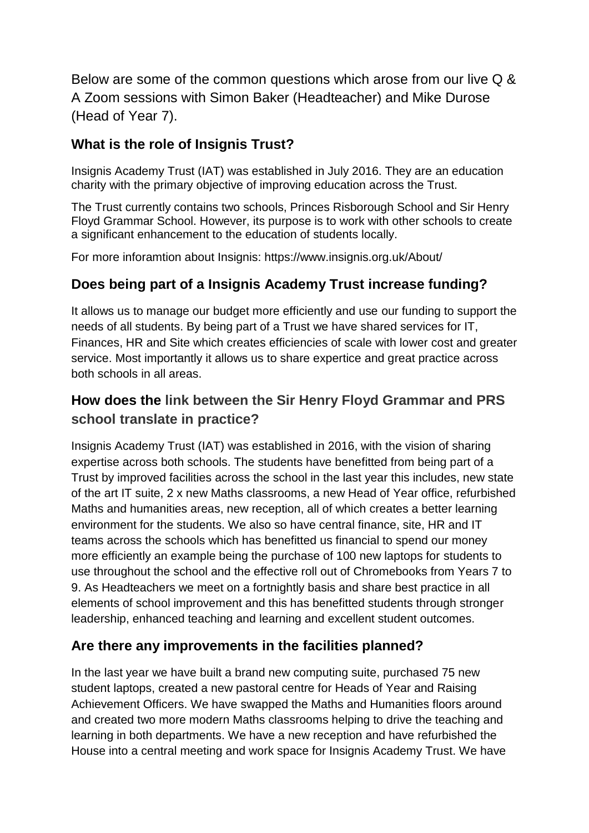Below are some of the common questions which arose from our live Q & A Zoom sessions with Simon Baker (Headteacher) and Mike Durose (Head of Year 7).

# **What is the role of Insignis Trust?**

Insignis Academy Trust (IAT) was established in July 2016. They are an education charity with the primary objective of improving education across the Trust.

The Trust currently contains two schools, Princes Risborough School and Sir Henry Floyd Grammar School. However, its purpose is to work with other schools to create a significant enhancement to the education of students locally.

For more inforamtion about Insignis: https://www.insignis.org.uk/About/

## **Does being part of a Insignis Academy Trust increase funding?**

It allows us to manage our budget more efficiently and use our funding to support the needs of all students. By being part of a Trust we have shared services for IT, Finances, HR and Site which creates efficiencies of scale with lower cost and greater service. Most importantly it allows us to share expertice and great practice across both schools in all areas.

## **How does the link between the Sir Henry Floyd Grammar and PRS school translate in practice?**

Insignis Academy Trust (IAT) was established in 2016, with the vision of sharing expertise across both schools. The students have benefitted from being part of a Trust by improved facilities across the school in the last year this includes, new state of the art IT suite, 2 x new Maths classrooms, a new Head of Year office, refurbished Maths and humanities areas, new reception, all of which creates a better learning environment for the students. We also so have central finance, site, HR and IT teams across the schools which has benefitted us financial to spend our money more efficiently an example being the purchase of 100 new laptops for students to use throughout the school and the effective roll out of Chromebooks from Years 7 to 9. As Headteachers we meet on a fortnightly basis and share best practice in all elements of school improvement and this has benefitted students through stronger leadership, enhanced teaching and learning and excellent student outcomes.

## **Are there any improvements in the facilities planned?**

In the last year we have built a brand new computing suite, purchased 75 new student laptops, created a new pastoral centre for Heads of Year and Raising Achievement Officers. We have swapped the Maths and Humanities floors around and created two more modern Maths classrooms helping to drive the teaching and learning in both departments. We have a new reception and have refurbished the House into a central meeting and work space for Insignis Academy Trust. We have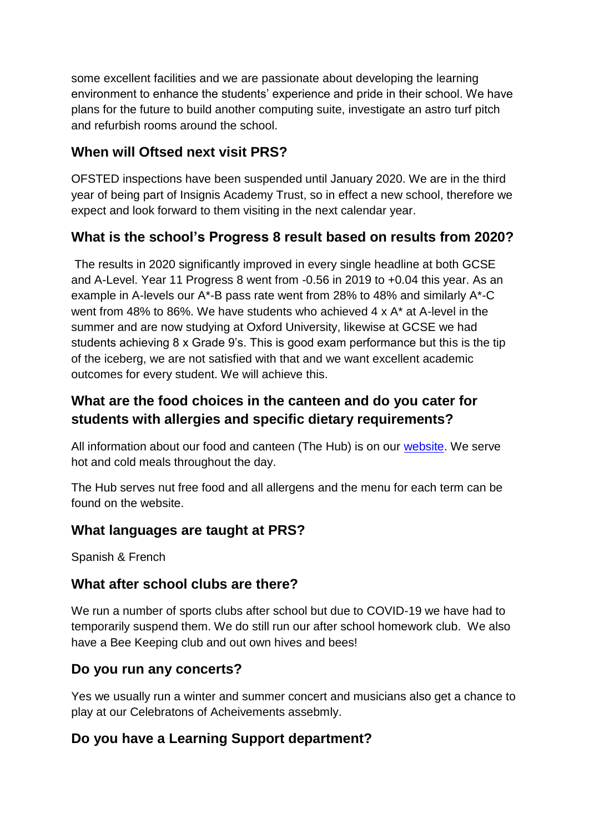some excellent facilities and we are passionate about developing the learning environment to enhance the students' experience and pride in their school. We have plans for the future to build another computing suite, investigate an astro turf pitch and refurbish rooms around the school.

## **When will Oftsed next visit PRS?**

OFSTED inspections have been suspended until January 2020. We are in the third year of being part of Insignis Academy Trust, so in effect a new school, therefore we expect and look forward to them visiting in the next calendar year.

## **What is the school's Progress 8 result based on results from 2020?**

The results in 2020 significantly improved in every single headline at both GCSE and A-Level. Year 11 Progress 8 went from -0.56 in 2019 to +0.04 this year. As an example in A-levels our A\*-B pass rate went from 28% to 48% and similarly A\*-C went from 48% to 86%. We have students who achieved 4 x A\* at A-level in the summer and are now studying at Oxford University, likewise at GCSE we had students achieving 8 x Grade 9's. This is good exam performance but this is the tip of the iceberg, we are not satisfied with that and we want excellent academic outcomes for every student. We will achieve this.

## **What are the food choices in the canteen and do you cater for students with allergies and specific dietary requirements?**

All information about our food and canteen (The Hub) is on our [website.](mailto:http://www.princesrisborough.bucks.sch.uk/Primary-School-Catering/) We serve hot and cold meals throughout the day.

The Hub serves nut free food and all allergens and the menu for each term can be found on the website.

## **What languages are taught at PRS?**

Spanish & French

#### **What after school clubs are there?**

We run a number of sports clubs after school but due to COVID-19 we have had to temporarily suspend them. We do still run our after school homework club. We also have a Bee Keeping club and out own hives and bees!

#### **Do you run any concerts?**

Yes we usually run a winter and summer concert and musicians also get a chance to play at our Celebratons of Acheivements assebmly.

## **Do you have a Learning Support department?**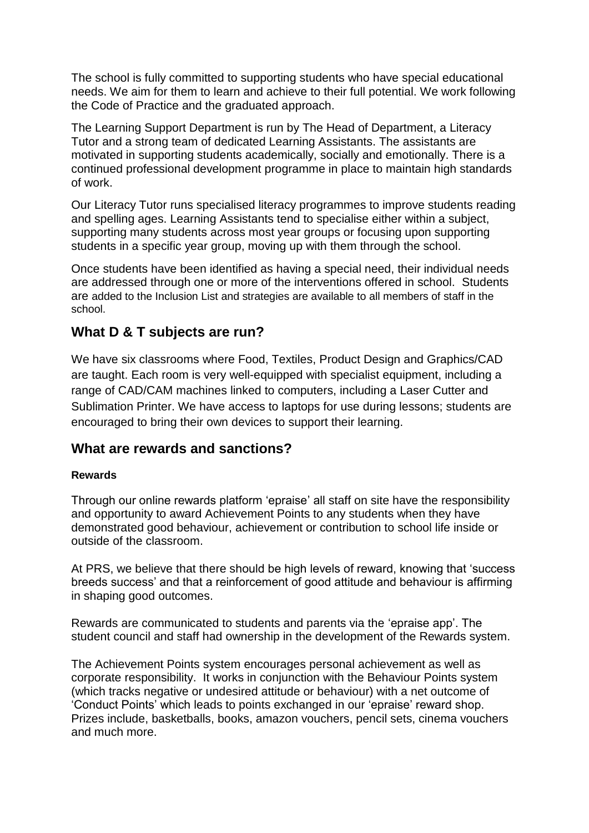The school is fully committed to supporting students who have special educational needs. We aim for them to learn and achieve to their full potential. We work following the Code of Practice and the graduated approach.

The Learning Support Department is run by The Head of Department, a Literacy Tutor and a strong team of dedicated Learning Assistants. The assistants are motivated in supporting students academically, socially and emotionally. There is a continued professional development programme in place to maintain high standards of work.

Our Literacy Tutor runs specialised literacy programmes to improve students reading and spelling ages. Learning Assistants tend to specialise either within a subject, supporting many students across most year groups or focusing upon supporting students in a specific year group, moving up with them through the school.

Once students have been identified as having a special need, their individual needs are addressed through one or more of the interventions offered in school. Students are added to the Inclusion List and strategies are available to all members of staff in the school.

#### **What D & T subjects are run?**

We have six classrooms where Food, Textiles, Product Design and Graphics/CAD are taught. Each room is very well-equipped with specialist equipment, including a range of CAD/CAM machines linked to computers, including a Laser Cutter and Sublimation Printer. We have access to laptops for use during lessons; students are encouraged to bring their own devices to support their learning.

#### **What are rewards and sanctions?**

#### **Rewards**

Through our online rewards platform 'epraise' all staff on site have the responsibility and opportunity to award Achievement Points to any students when they have demonstrated good behaviour, achievement or contribution to school life inside or outside of the classroom.

At PRS, we believe that there should be high levels of reward, knowing that 'success breeds success' and that a reinforcement of good attitude and behaviour is affirming in shaping good outcomes.

Rewards are communicated to students and parents via the 'epraise app'. The student council and staff had ownership in the development of the Rewards system.

The Achievement Points system encourages personal achievement as well as corporate responsibility. It works in conjunction with the Behaviour Points system (which tracks negative or undesired attitude or behaviour) with a net outcome of 'Conduct Points' which leads to points exchanged in our 'epraise' reward shop. Prizes include, basketballs, books, amazon vouchers, pencil sets, cinema vouchers and much more.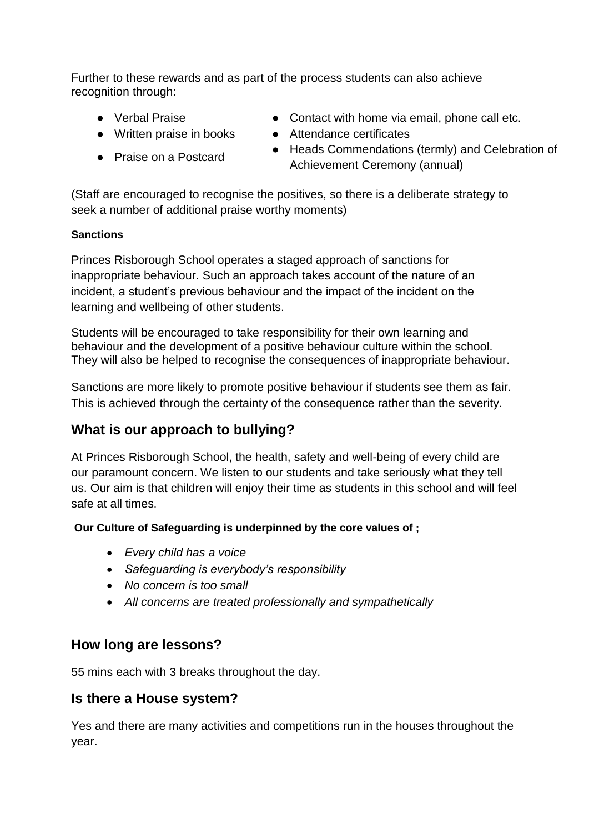Further to these rewards and as part of the process students can also achieve recognition through:

- 
- 
- Praise on a Postcard
- Verbal Praise Contact with home via email, phone call etc.
- Written praise in books Attendance certificates
	- Heads Commendations (termly) and Celebration of Achievement Ceremony (annual)

(Staff are encouraged to recognise the positives, so there is a deliberate strategy to seek a number of additional praise worthy moments)

#### **Sanctions**

Princes Risborough School operates a staged approach of sanctions for inappropriate behaviour. Such an approach takes account of the nature of an incident, a student's previous behaviour and the impact of the incident on the learning and wellbeing of other students.

Students will be encouraged to take responsibility for their own learning and behaviour and the development of a positive behaviour culture within the school. They will also be helped to recognise the consequences of inappropriate behaviour.

Sanctions are more likely to promote positive behaviour if students see them as fair. This is achieved through the certainty of the consequence rather than the severity.

## **What is our approach to bullying?**

At Princes Risborough School, the health, safety and well-being of every child are our paramount concern. We listen to our students and take seriously what they tell us. Our aim is that children will enjoy their time as students in this school and will feel safe at all times.

**Our Culture of Safeguarding is underpinned by the core values of ;**

- *Every child has a voice*
- *Safeguarding is everybody's responsibility*
- *No concern is too small*
- *All concerns are treated professionally and sympathetically*

#### **How long are lessons?**

55 mins each with 3 breaks throughout the day.

#### **Is there a House system?**

Yes and there are many activities and competitions run in the houses throughout the year.